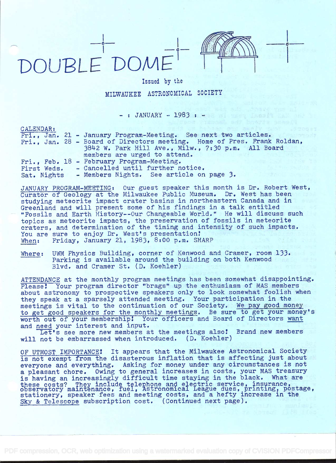# DOUBLE DOME'



o

## Issued by the

### MILWAUKEE ASTRONOMICAL SOCIETY

 $-$  : JANUARY  $-$  1983 :  $-$ 

CALENDAR:

|             |  | Fri Jan. 21 - January Program-Meeting. See next two articles.           |
|-------------|--|-------------------------------------------------------------------------|
|             |  | Fri., Jan. 28 - Board of Directors meeting. Home of Pres. Frank Roldan, |
|             |  | 3842 W. Park Hill Ave., Milw., 7:30 p.m. All Board                      |
|             |  | members are urged to attend.                                            |
|             |  | Fri., Feb. 18 - February Program-Meeting.                               |
| First Weds. |  | - Cancelled until further notice.                                       |
| Sat. Nights |  | - Members Nights. See article on page 3.                                |
|             |  |                                                                         |

JANUARY PROGRAM-MEETING: Our guest speaker this month is Dr. Robert West,<br>Curator of Geology at the Milwaukee Public Museum. Dr. West has been Curator of Geology at the Milwaukee Public Museum. studying meteorite impact crater basins in northeastern Canada and in Greenland and will present some of his findings in a talk entitled "Fossils and Earth History--Our Changeable World." He will discuss such topics as meteorite impacts, the preservation of fossils in meteorite craters, and determination of the timing and intensity of such impacts. You are sure to enjoy Dr. West's presentation!<br>When: Friday, January 21, 1983, 8:00 p.m. SH When: Friday, January 21, 1983, 8:00 p.m. SHARP

Where: UWM Physics Building, corner of Kenwood and Cramer, room 133. Parking is available around the building on both Kenwood Blvd. and Cramer St. (D. Koehier)

ATTENDANCE at the monthly program meetings has been somewhat disappointing. Please! Your program director "brags" up the enthusiasm of MAS members about astronomy to prospective speakers only to look somewhat foolish when they speak at a sparsely attended meeting. Your participation in the meetings is vital to the continuation of our Society. We pay good money -to get good speakers for the monthly meetings. Be sure to get your money's worth out of your membership! Your officers and Board of Directors want and need your interest and input.

Let's see more new members at the meetings also! Brand new members will not be embarrassed when introduced. (D. Koehler)

OF UTMOST IMPORTANCE! It appears that the Milwaukee Astronomical Society is not exempt from the disasterous inflation that is affecting just about everyone and everything. Asking for money under any circumstances is not a pleasant chore. Owing to general increases in costs, your MAS treasury is having an increasingly difficult time staying in the black. What are these costs? They include telephone and electric service, insurance, observatory maintenance, fuel, Astronomical League dues, printing, postage, stationery, speaker fees and meeting costs, and a hefty increase in the Sky & Telescope subscription cost. (Continued next page).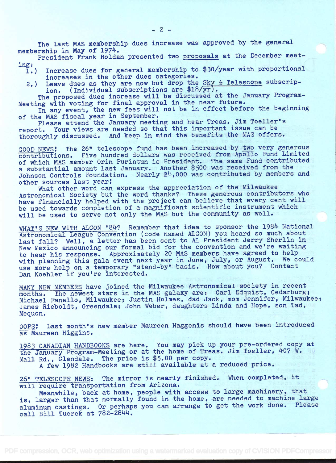The last MAS membership dues increase was approved by the general membership in May of 197k.

President Frank Roldan presented two proposals at the December meet-

- ing:<br>1.) Increase dues for general membership to \$30/year with proportional increases in the other dues categories.
	- 2.) Leave dues as they are now but drop the Sky & Telescope subscrip-<br>ion. (Individual subscriptions are  $$18/yr$ ). (Individual subscriptions are  $$18/yr$ ).

The proposed dues increase will be discussed at the January Program-Meeting with voting for final approval in the near future.

In any event, the new fees will not be in effect before the beginning of the MAS fiscal year in September.

Please attend the January meeting and hear Treas. Jim Toeller's report. Your views are needed so that this important issue can be thoroughly discussed. And keep in mind the benefits the MAS offers.

GOOD NEWS! The 26" telescope fund has been increased by two very generous contributions. Five hundred dollars was received from Apollo Fund Limited of which MAS member Orin Purintun is President. The same Fund contributed a substantial amount last January. Another \$500 was received from the Johnson Controls Foundation. Nearly \$4,000 was contributed by members and other sources last year!

What other word can express the appreciation of the Milwaukee Astronomical Society but the word thanks? These generous contributors who have financially helped with the project can believe that every cent will be used towards completion of a magnificant scientific instrument which will be used to serve not only the MAS but the community as well.

WHAT'S NEW WITH ALCON '84? Remember that idea to sponsor the 1984 National Astronomical League Convention (code named ALCON) you heard so much about last fall? Well, a letter has been sent to AL President Jerry Sherlin in New Mexico announcing our formal bid for the convention and we're waiting to hear his response. Approximately 20 MAS members have agreed to help with planning this gala event next year in June, July, or August. We could use more help on a temporary "stand-by" basis. How about you? Contact Dan Koehier if you're interested.

MANY NEW MEMBERS have joined the Milwaukee Astronomical society in recent months. The newest stars in the MAS galaxy are: Carl Edquist, Cedarburg; Michael Fanello, Milwaukee; Justin Holmes, dad Jack, mom Jennifer, Milwaukee; James Rieboldt, Greendale; John Weber, daughters Linda and Hope, son Tad, Mequon.

ooPS: Last month's new member Maureen Haggenis should have been introduced as Maureen Higgins.

1983 CANADIAN HANDBOOKS are here. You may pick up your pre-ordered copy at the January Program-Meeting or at the home of Treas. Jim Toeller, 407 W. Mall Rd., Glendale. The price is \$5.00 per copy.

A few 1982 Handbooks are still available at a reduced price.

26" TELESCOPE NEWS: The mirror is nearly finished. When completed, it will require transportation from Arizona.

Meanwhile, back at home, people with access to large machinery, that is, larger than that normally found in the home, are needed to machine large aluminum castings. Or perhaps you can arrange to get the work done. Please call Bill Tuerck at 782-28kk.